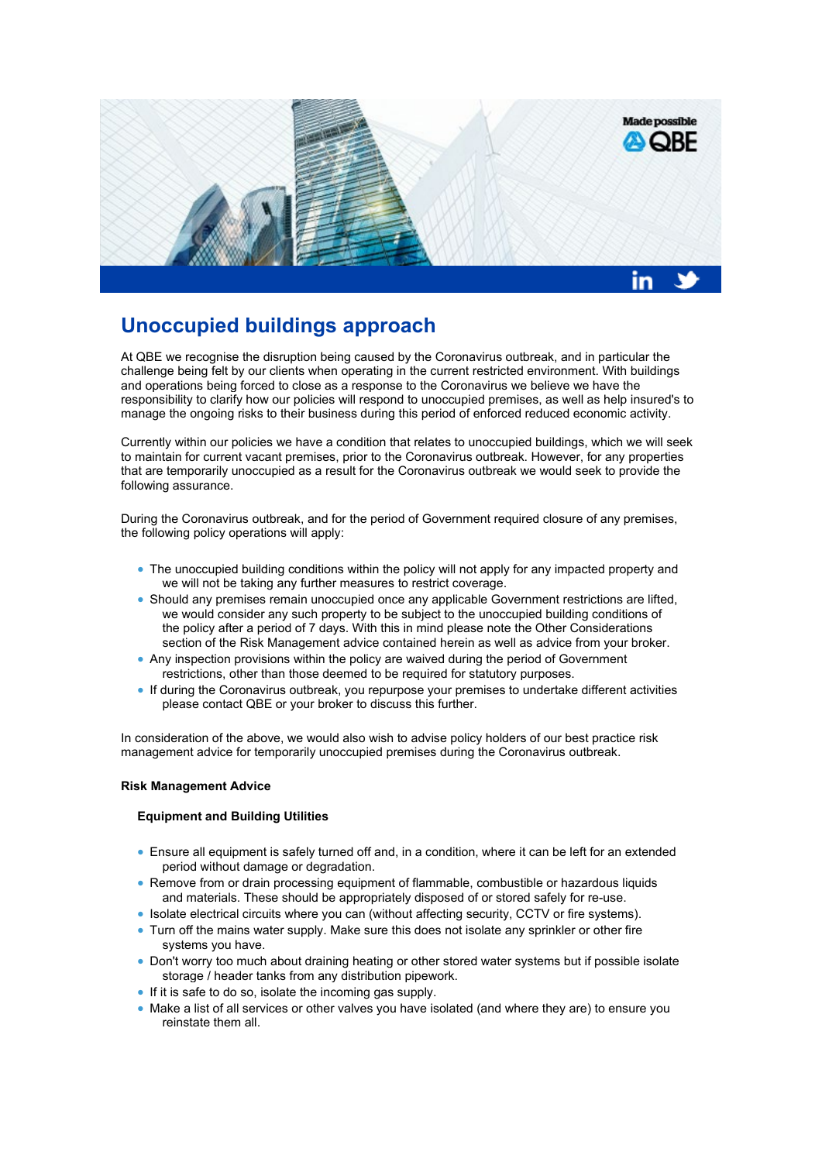

# **Unoccupied buildings approach**

At QBE we recognise the disruption being caused by the Coronavirus outbreak, and in particular the challenge being felt by our clients when operating in the current restricted environment. With buildings and operations being forced to close as a response to the Coronavirus we believe we have the responsibility to clarify how our policies will respond to unoccupied premises, as well as help insured's to manage the ongoing risks to their business during this period of enforced reduced economic activity.

Currently within our policies we have a condition that relates to unoccupied buildings, which we will seek to maintain for current vacant premises, prior to the Coronavirus outbreak. However, for any properties that are temporarily unoccupied as a result for the Coronavirus outbreak we would seek to provide the following assurance.

During the Coronavirus outbreak, and for the period of Government required closure of any premises, the following policy operations will apply:

- The unoccupied building conditions within the policy will not apply for any impacted property and we will not be taking any further measures to restrict coverage.
- Should any premises remain unoccupied once any applicable Government restrictions are lifted, we would consider any such property to be subject to the unoccupied building conditions of the policy after a period of 7 days. With this in mind please note the Other Considerations section of the Risk Management advice contained herein as well as advice from your broker.
- Any inspection provisions within the policy are waived during the period of Government restrictions, other than those deemed to be required for statutory purposes.
- If during the Coronavirus outbreak, you repurpose your premises to undertake different activities please contact QBE or your broker to discuss this further.

In consideration of the above, we would also wish to advise policy holders of our best practice risk management advice for temporarily unoccupied premises during the Coronavirus outbreak.

# **Risk Management Advice**

# **Equipment and Building Utilities**

- Ensure all equipment is safely turned off and, in a condition, where it can be left for an extended period without damage or degradation.
- Remove from or drain processing equipment of flammable, combustible or hazardous liquids and materials. These should be appropriately disposed of or stored safely for re-use.
- Isolate electrical circuits where you can (without affecting security, CCTV or fire systems).
- Turn off the mains water supply. Make sure this does not isolate any sprinkler or other fire systems you have.
- Don't worry too much about draining heating or other stored water systems but if possible isolate storage / header tanks from any distribution pipework.
- If it is safe to do so, isolate the incoming gas supply.
- Make a list of all services or other valves you have isolated (and where they are) to ensure you reinstate them all.